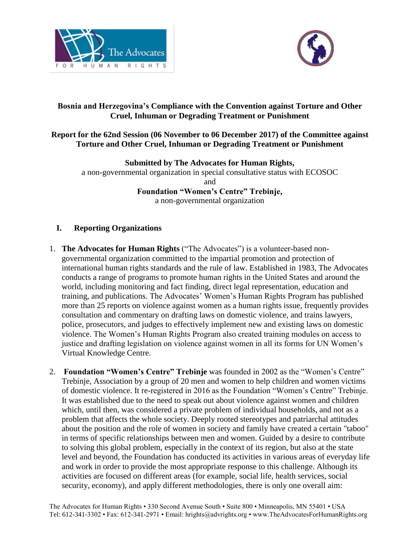



# **Bosnia and Herzegovina's Compliance with the Convention against Torture and Other Cruel, Inhuman or Degrading Treatment or Punishment**

### **Report for the 62nd Session (06 November to 06 December 2017) of the Committee against Torture and Other Cruel, Inhuman or Degrading Treatment or Punishment**

**Submitted by The Advocates for Human Rights,**  a non-governmental organization in special consultative status with ECOSOC and

**Foundation "Women's Centre" Trebinje,** a non-governmental organization

# **I. Reporting Organizations**

- 1. **The Advocates for Human Rights** ("The Advocates") is a volunteer-based nongovernmental organization committed to the impartial promotion and protection of international human rights standards and the rule of law. Established in 1983, The Advocates conducts a range of programs to promote human rights in the United States and around the world, including monitoring and fact finding, direct legal representation, education and training, and publications. The Advocates' Women's Human Rights Program has published more than 25 reports on violence against women as a human rights issue, frequently provides consultation and commentary on drafting laws on domestic violence, and trains lawyers, police, prosecutors, and judges to effectively implement new and existing laws on domestic violence. The Women's Human Rights Program also created training modules on access to justice and drafting legislation on violence against women in all its forms for UN Women's Virtual Knowledge Centre.
- 2. **Foundation "Women's Centre" Trebinje** was founded in 2002 as the "Women's Centre" Trebinje, Association by a group of 20 men and women to help children and women victims of domestic violence. It re-registered in 2016 as the Foundation "Women's Centre" Trebinje. It was established due to the need to speak out about violence against women and children which, until then, was considered a private problem of individual households, and not as a problem that affects the whole society. Deeply rooted stereotypes and patriarchal attitudes about the position and the role of women in society and family have created a certain "taboo" in terms of specific relationships between men and women. Guided by a desire to contribute to solving this global problem, especially in the context of its region, but also at the state level and beyond, the Foundation has conducted its activities in various areas of everyday life and work in order to provide the most appropriate response to this challenge. Although its activities are focused on different areas (for example, social life, health services, social security, economy), and apply different methodologies, there is only one overall aim: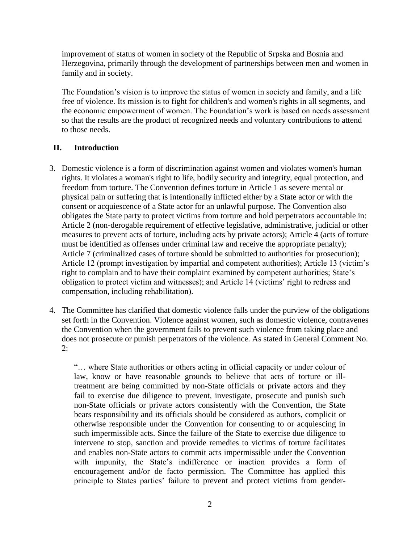improvement of status of women in society of the Republic of Srpska and Bosnia and Herzegovina, primarily through the development of partnerships between men and women in family and in society.

The Foundation's vision is to improve the status of women in society and family, and a life free of violence. Its mission is to fight for children's and women's rights in all segments, and the economic empowerment of women. The Foundation's work is based on needs assessment so that the results are the product of recognized needs and voluntary contributions to attend to those needs.

# **II. Introduction**

- 3. Domestic violence is a form of discrimination against women and violates women's human rights. It violates a woman's right to life, bodily security and integrity, equal protection, and freedom from torture. The Convention defines torture in Article 1 as severe mental or physical pain or suffering that is intentionally inflicted either by a State actor or with the consent or acquiescence of a State actor for an unlawful purpose. The Convention also obligates the State party to protect victims from torture and hold perpetrators accountable in: Article 2 (non-derogable requirement of effective legislative, administrative, judicial or other measures to prevent acts of torture, including acts by private actors); Article 4 (acts of torture must be identified as offenses under criminal law and receive the appropriate penalty); Article 7 (criminalized cases of torture should be submitted to authorities for prosecution); Article 12 (prompt investigation by impartial and competent authorities); Article 13 (victim's right to complain and to have their complaint examined by competent authorities; State's obligation to protect victim and witnesses); and Article 14 (victims' right to redress and compensation, including rehabilitation).
- 4. The Committee has clarified that domestic violence falls under the purview of the obligations set forth in the Convention. Violence against women, such as domestic violence, contravenes the Convention when the government fails to prevent such violence from taking place and does not prosecute or punish perpetrators of the violence. As stated in General Comment No. 2:

"… where State authorities or others acting in official capacity or under colour of law, know or have reasonable grounds to believe that acts of torture or illtreatment are being committed by non-State officials or private actors and they fail to exercise due diligence to prevent, investigate, prosecute and punish such non-State officials or private actors consistently with the Convention, the State bears responsibility and its officials should be considered as authors, complicit or otherwise responsible under the Convention for consenting to or acquiescing in such impermissible acts. Since the failure of the State to exercise due diligence to intervene to stop, sanction and provide remedies to victims of torture facilitates and enables non-State actors to commit acts impermissible under the Convention with impunity, the State's indifference or inaction provides a form of encouragement and/or de facto permission. The Committee has applied this principle to States parties' failure to prevent and protect victims from gender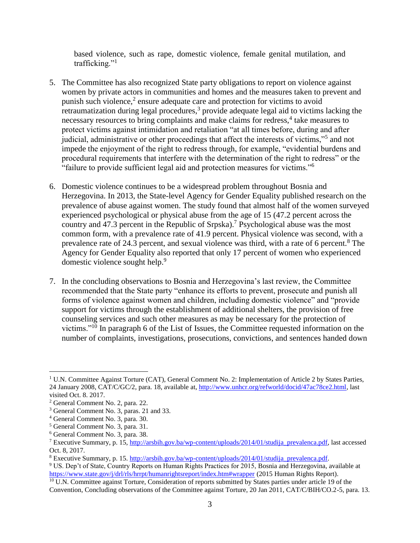based violence, such as rape, domestic violence, female genital mutilation, and trafficking."<sup>1</sup>

- 5. The Committee has also recognized State party obligations to report on violence against women by private actors in communities and homes and the measures taken to prevent and punish such violence, $2$  ensure adequate care and protection for victims to avoid retraumatization during legal procedures,<sup>3</sup> provide adequate legal aid to victims lacking the necessary resources to bring complaints and make claims for redress,<sup>4</sup> take measures to protect victims against intimidation and retaliation "at all times before, during and after judicial, administrative or other proceedings that affect the interests of victims,"<sup>5</sup> and not impede the enjoyment of the right to redress through, for example, "evidential burdens and procedural requirements that interfere with the determination of the right to redress" or the "failure to provide sufficient legal aid and protection measures for victims."<sup>6</sup>
- 6. Domestic violence continues to be a widespread problem throughout Bosnia and Herzegovina. In 2013, the State-level Agency for Gender Equality published research on the prevalence of abuse against women. The study found that almost half of the women surveyed experienced psychological or physical abuse from the age of 15 (47.2 percent across the country and 47.3 percent in the Republic of Srpska). <sup>7</sup> Psychological abuse was the most common form, with a prevalence rate of 41.9 percent. Physical violence was second, with a prevalence rate of 24.3 percent, and sexual violence was third, with a rate of 6 percent.<sup>8</sup> The Agency for Gender Equality also reported that only 17 percent of women who experienced domestic violence sought help.<sup>9</sup>
- 7. In the concluding observations to Bosnia and Herzegovina's last review, the Committee recommended that the State party "enhance its efforts to prevent, prosecute and punish all forms of violence against women and children, including domestic violence" and "provide support for victims through the establishment of additional shelters, the provision of free counseling services and such other measures as may be necessary for the protection of victims."<sup>10</sup> In paragraph 6 of the List of Issues, the Committee requested information on the number of complaints, investigations, prosecutions, convictions, and sentences handed down

 $\overline{a}$ 

<sup>&</sup>lt;sup>1</sup> U.N. Committee Against Torture (CAT), General Comment No. 2: Implementation of Article 2 by States Parties, 24 January 2008, CAT/C/GC/2, para. 18, available at, [http://www.unhcr.org/refworld/docid/47ac78ce2.html,](http://www.unhcr.org/refworld/docid/47ac78ce2.html) last visited Oct. 8. 2017.

<sup>2</sup> General Comment No. 2, para. 22.

<sup>3</sup> General Comment No. 3, paras. 21 and 33.

<sup>4</sup> General Comment No. 3, para. 30.

<sup>5</sup> General Comment No. 3, para. 31.

<sup>6</sup> General Comment No. 3, para. 38.

<sup>&</sup>lt;sup>7</sup> Executive Summary, p. 15, [http://arsbih.gov.ba/wp-content/uploads/2014/01/studija\\_prevalenca.pdf,](http://arsbih.gov.ba/wp-content/uploads/2014/01/studija_prevalenca.pdf) last accessed Oct. 8, 2017.

<sup>&</sup>lt;sup>8</sup> Executive Summary, p. 15. [http://arsbih.gov.ba/wp-content/uploads/2014/01/studija\\_prevalenca.pdf.](http://arsbih.gov.ba/wp-content/uploads/2014/01/studija_prevalenca.pdf)

<sup>9</sup> US. Dep't of State, Country Reports on Human Rights Practices for 2015, Bosnia and Herzegovina, available at <https://www.state.gov/j/drl/rls/hrrpt/humanrightsreport/index.htm#wrapper> (2015 Human Rights Report).

<sup>&</sup>lt;sup>10</sup> U.N. Committee against Torture, Consideration of reports submitted by States parties under article 19 of the Convention, Concluding observations of the Committee against Torture, 20 Jan 2011, CAT/C/BIH/CO.2-5, para. 13.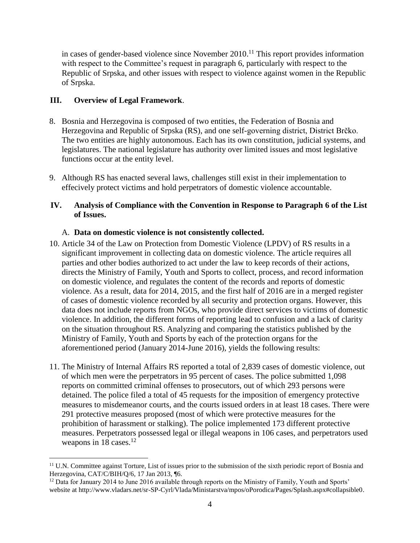in cases of gender-based violence since November 2010. <sup>11</sup> This report provides information with respect to the Committee's request in paragraph 6, particularly with respect to the Republic of Srpska, and other issues with respect to violence against women in the Republic of Srpska.

### **III. Overview of Legal Framework**.

 $\overline{a}$ 

- 8. Bosnia and Herzegovina is composed of two entities, the Federation of Bosnia and Herzegovina and Republic of Srpska (RS), and one self-governing district, District Brčko. The two entities are highly autonomous. Each has its own constitution, judicial systems, and legislatures. The national legislature has authority over limited issues and most legislative functions occur at the entity level.
- 9. Although RS has enacted several laws, challenges still exist in their implementation to effecively protect victims and hold perpetrators of domestic violence accountable.

# **IV. Analysis of Compliance with the Convention in Response to Paragraph 6 of the List of Issues.**

#### A. **Data on domestic violence is not consistently collected.**

- 10. Article 34 of the Law on Protection from Domestic Violence (LPDV) of RS results in a significant improvement in collecting data on domestic violence. The article requires all parties and other bodies authorized to act under the law to keep records of their actions, directs the Ministry of Family, Youth and Sports to collect, process, and record information on domestic violence, and regulates the content of the records and reports of domestic violence. As a result, data for 2014, 2015, and the first half of 2016 are in a merged register of cases of domestic violence recorded by all security and protection organs. However, this data does not include reports from NGOs, who provide direct services to victims of domestic violence. In addition, the different forms of reporting lead to confusion and a lack of clarity on the situation throughout RS. Analyzing and comparing the statistics published by the Ministry of Family, Youth and Sports by each of the protection organs for the aforementioned period (January 2014-June 2016), yields the following results:
- 11. The Ministry of Internal Affairs RS reported a total of 2,839 cases of domestic violence, out of which men were the perpetrators in 95 percent of cases. The police submitted 1,098 reports on committed criminal offenses to prosecutors, out of which 293 persons were detained. The police filed a total of 45 requests for the imposition of emergency protective measures to misdemeanor courts, and the courts issued orders in at least 18 cases. There were 291 protective measures proposed (most of which were protective measures for the prohibition of harassment or stalking). The police implemented 173 different protective measures. Perpetrators possessed legal or illegal weapons in 106 cases, and perpetrators used weapons in  $18$  cases.<sup>12</sup>

<sup>&</sup>lt;sup>11</sup> U.N. Committee against Torture, List of issues prior to the submission of the sixth periodic report of Bosnia and Herzegovina, CAT/C/BIH/Q/6, 17 Jan 2013, ¶6.

 $12$  Data for January 2014 to June 2016 available through reports on the Ministry of Family, Youth and Sports' website at http://www.vladars.net/sr-SP-Cyrl/Vlada/Ministarstva/mpos/oPorodica/Pages/Splash.aspx#collapsible0.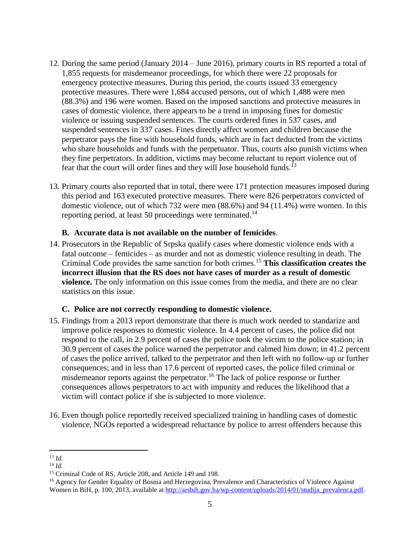- 12. During the same period (January 2014 June 2016), primary courts in RS reported a total of 1,855 requests for misdemeanor proceedings, for which there were 22 proposals for emergency protective measures. During this period, the courts issued 33 emergency protective measures. There were 1,684 accused persons, out of which 1,488 were men (88.3%) and 196 were women. Based on the imposed sanctions and protective measures in cases of domestic violence, there appears to be a trend in imposing fines for domestic violence or issuing suspended sentences. The courts ordered fines in 537 cases, and suspended sentences in 337 cases. Fines directly affect women and children because the perpetrator pays the fine with household funds, which are in fact deducted from the victims who share households and funds with the perpetuator. Thus, courts also punish victims when they fine perpetrators. In addition, victims may become reluctant to report violence out of fear that the court will order fines and they will lose household funds.<sup>13</sup>
- 13. Primary courts also reported that in total, there were 171 protection measures imposed during this period and 163 executed protective measures. There were 826 perpetrators convicted of domestic violence, out of which 732 were men (88.6%) and 94 (11.4%) were women. In this reporting period, at least 50 proceedings were terminated.<sup>14</sup>

#### **B. Accurate data is not available on the number of femicides**.

14. Prosecutors in the Republic of Srpska qualify cases where domestic violence ends with a fatal outcome – femicides – as murder and not as domestic violence resulting in death. The Criminal Code provides the same sanction for both crimes.<sup>15</sup> **This classification creates the incorrect illusion that the RS does not have cases of murder as a result of domestic violence.** The only information on this issue comes from the media, and there are no clear statistics on this issue.

#### **C. Police are not correctly responding to domestic violence.**

- 15. Findings from a 2013 report demonstrate that there is much work needed to standarize and improve police responses to domestic violence. In 4.4 percent of cases, the police did not respond to the call, in 2.9 percent of cases the police took the victim to the police station; in 30.9 percent of cases the police warned the perpetrator and calmed him down; in 41.2 percent of cases the police arrived, talked to the perpetrator and then left with no follow-up or further consequences; and in less than 17.6 percent of reported cases, the police filed criminal or misdemeanor reports against the perpetrator.<sup>16</sup> The lack of police response or further consequences allows perpetrators to act with impunity and reduces the likelihood that a victim will contact police if she is subjected to more violence.
- 16. Even though police reportedly received specialized training in handling cases of domestic violence, NGOs reported a widespread reluctance by police to arrest offenders because this

 $\overline{a}$ <sup>13</sup> *Id.*

<sup>14</sup> *Id.*

<sup>15</sup> Criminal Code of RS, Article 208, and Article 149 and 198.

<sup>&</sup>lt;sup>16</sup> Agency for Gender Equality of Bosnia and Herzegovina, Prevalence and Characteristics of Violence Against Women in BiH, p. 100, 2013, available at [http://arsbih.gov.ba/wp-content/uploads/2014/01/studija\\_prevalenca.pdf.](http://arsbih.gov.ba/wp-content/uploads/2014/01/studija_prevalenca.pdf)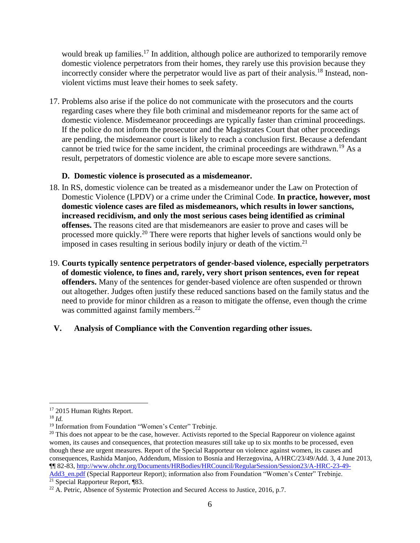would break up families.<sup>17</sup> In addition, although police are authorized to temporarily remove domestic violence perpetrators from their homes, they rarely use this provision because they incorrectly consider where the perpetrator would live as part of their analysis.<sup>18</sup> Instead, nonviolent victims must leave their homes to seek safety.

17. Problems also arise if the police do not communicate with the prosecutors and the courts regarding cases where they file both criminal and misdemeanor reports for the same act of domestic violence. Misdemeanor proceedings are typically faster than criminal proceedings. If the police do not inform the prosecutor and the Magistrates Court that other proceedings are pending, the misdemeanor court is likely to reach a conclusion first. Because a defendant cannot be tried twice for the same incident, the criminal proceedings are withdrawn.<sup>19</sup> As a result, perpetrators of domestic violence are able to escape more severe sanctions.

#### **D. Domestic violence is prosecuted as a misdemeanor.**

- 18. In RS, domestic violence can be treated as a misdemeanor under the Law on Protection of Domestic Violence (LPDV) or a crime under the Criminal Code. **In practice, however, most domestic violence cases are filed as misdemeanors, which results in lower sanctions, increased recidivism, and only the most serious cases being identified as criminal offenses.** The reasons cited are that misdemeanors are easier to prove and cases will be processed more quickly.<sup>20</sup> There were reports that higher levels of sanctions would only be imposed in cases resulting in serious bodily injury or death of the victim.<sup>21</sup>
- 19. **Courts typically sentence perpetrators of gender-based violence, especially perpetrators of domestic violence, to fines and, rarely, very short prison sentences, even for repeat offenders.** Many of the sentences for gender-based violence are often suspended or thrown out altogether. Judges often justify these reduced sanctions based on the family status and the need to provide for minor children as a reason to mitigate the offense, even though the crime was committed against family members.<sup>22</sup>

# **V. Analysis of Compliance with the Convention regarding other issues.**

 $\overline{a}$ <sup>17</sup> 2015 Human Rights Report.

<sup>18</sup> *Id.*

<sup>&</sup>lt;sup>19</sup> Information from Foundation "Women's Center" Trebinje.

 $20$  This does not appear to be the case, however. Activists reported to the Special Rapporeur on violence against women, its causes and consequences, that protection measures still take up to six months to be processed, even though these are urgent measures. Report of the Special Rapporteur on violence against women, its causes and consequences, Rashida Manjoo, Addendum, Mission to Bosnia and Herzegovina, A/HRC/23/49/Add. 3, 4 June 2013, ¶¶ 82-83, [http://www.ohchr.org/Documents/HRBodies/HRCouncil/RegularSession/Session23/A-HRC-23-49-](http://www.ohchr.org/Documents/HRBodies/HRCouncil/RegularSession/Session23/A-HRC-23-49-Add3_en.pdf) [Add3\\_en.pdf](http://www.ohchr.org/Documents/HRBodies/HRCouncil/RegularSession/Session23/A-HRC-23-49-Add3_en.pdf) (Special Rapporteur Report); information also from Foundation "Women's Center" Trebinje. <sup>21</sup> Special Rapporteur Report, ¶83.

 $22$  A. Petric, Absence of Systemic Protection and Secured Access to Justice, 2016, p.7.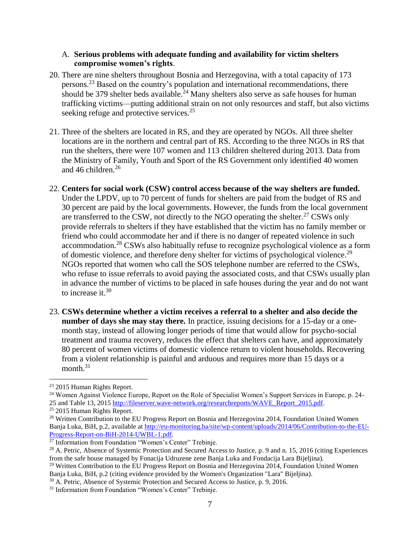#### A. **Serious problems with adequate funding and availability for victim shelters compromise women's rights**.

- 20. There are nine shelters throughout Bosnia and Herzegovina, with a total capacity of 173 persons.<sup>23</sup> Based on the country's population and international recommendations, there should be 379 shelter beds available.<sup>24</sup> Many shelters also serve as safe houses for human trafficking victims—putting additional strain on not only resources and staff, but also victims seeking refuge and protective services.<sup>25</sup>
- 21. Three of the shelters are located in RS, and they are operated by NGOs. All three shelter locations are in the northern and central part of RS. According to the three NGOs in RS that run the shelters, there were 107 women and 113 children sheltered during 2013. Data from the Ministry of Family, Youth and Sport of the RS Government only identified 40 women and 46 children. $26$
- 22. **Centers for social work (CSW) control access because of the way shelters are funded.** Under the LPDV, up to 70 percent of funds for shelters are paid from the budget of RS and 30 percent are paid by the local governments. However, the funds from the local government are transferred to the CSW, not directly to the NGO operating the shelter.<sup>27</sup> CSWs only provide referrals to shelters if they have established that the victim has no family member or friend who could accommodate her and if there is no danger of repeated violence in such accommodation.<sup>28</sup> CSWs also habitually refuse to recognize psychological violence as a form of domestic violence, and therefore deny shelter for victims of psychological violence.<sup>29</sup> NGOs reported that women who call the SOS telephone number are referred to the CSWs, who refuse to issue referrals to avoid paying the associated costs, and that CSWs usually plan in advance the number of victims to be placed in safe houses during the year and do not want to increase it.  $30$
- 23. **CSWs determine whether a victim receives a referral to a shelter and also decide the number of days she may stay there.** In practice, issuing decisions for a 15-day or a onemonth stay, instead of allowing longer periods of time that would allow for psycho-social treatment and trauma recovery, reduces the effect that shelters can have, and approximately 80 percent of women victims of domestic violence return to violent households. Recovering from a violent relationship is painful and arduous and requires more than 15 days or a month.<sup>31</sup>

 $\overline{a}$ 

<sup>23</sup> 2015 Human Rights Report.

<sup>24</sup> Women Against Violence Europe, Report on the Role of Specialist Women's Support Services in Europe, p. 24- 25 and Table 13, 2015 [http://fileserver.wave-network.org/researchreports/WAVE\\_Report\\_2015.pdf.](http://fileserver.wave-network.org/researchreports/WAVE_Report_2015.pdf)

<sup>25</sup> 2015 Human Rights Report.

<sup>&</sup>lt;sup>26</sup> Written Contribution to the EU Progress Report on Bosnia and Herzegovina 2014, Foundation United Women Banja Luka, BiH, p.2, available at [http://eu-monitoring.ba/site/wp-content/uploads/2014/06/Contribution-to-the-EU-](http://eu-monitoring.ba/site/wp-content/uploads/2014/06/Contribution-to-the-EU-Progress-Report-on-BiH-2014-UWBL-1.pdf)[Progress-Report-on-BiH-2014-UWBL-1.pdf.](http://eu-monitoring.ba/site/wp-content/uploads/2014/06/Contribution-to-the-EU-Progress-Report-on-BiH-2014-UWBL-1.pdf)

<sup>&</sup>lt;sup>27</sup> Information from Foundation "Women's Center" Trebinje.

<sup>&</sup>lt;sup>28</sup> A. Petric, Absence of Systemic Protection and Secured Access to Justice, p. 9 and n. 15, 2016 (citing Experiences from the safe house managed by Fonacija Udruzene zene Banja Luka and Fondacija Lara Bijeljina).

<sup>&</sup>lt;sup>29</sup> Written Contribution to the EU Progress Report on Bosnia and Herzegovina 2014, Foundation United Women Banja Luka, BiH, p.2 (citing evidence provided by the Women's Organization "Lara" Bijeljina).

<sup>&</sup>lt;sup>30</sup> A. Petric, Absence of Systemic Protection and Secured Access to Justice, p. 9, 2016.

<sup>&</sup>lt;sup>31</sup> Information from Foundation "Women's Center" Trebinje.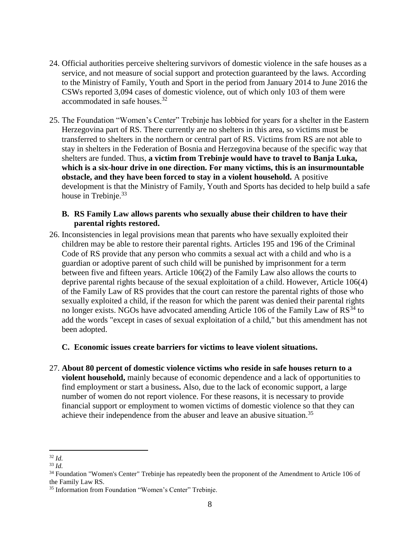- 24. Official authorities perceive sheltering survivors of domestic violence in the safe houses as a service, and not measure of social support and protection guaranteed by the laws. According to the Ministry of Family, Youth and Sport in the period from January 2014 to June 2016 the CSWs reported 3,094 cases of domestic violence, out of which only 103 of them were accommodated in safe houses.<sup>32</sup>
- 25. The Foundation "Women's Center" Trebinje has lobbied for years for a shelter in the Eastern Herzegovina part of RS. There currently are no shelters in this area, so victims must be transferred to shelters in the northern or central part of RS. Victims from RS are not able to stay in shelters in the Federation of Bosnia and Herzegovina because of the specific way that shelters are funded. Thus, **a victim from Trebinje would have to travel to Banja Luka, which is a six-hour drive in one direction. For many victims, this is an insurmountable obstacle, and they have been forced to stay in a violent household.** A positive development is that the Ministry of Family, Youth and Sports has decided to help build a safe house in Trebinje.<sup>33</sup>

### **B. RS Family Law allows parents who sexually abuse their children to have their parental rights restored.**

26. Inconsistencies in legal provisions mean that parents who have sexually exploited their children may be able to restore their parental rights. Articles 195 and 196 of the Criminal Code of RS provide that any person who commits a sexual act with a child and who is a guardian or adoptive parent of such child will be punished by imprisonment for a term between five and fifteen years. Article 106(2) of the Family Law also allows the courts to deprive parental rights because of the sexual exploitation of a child. However, Article 106(4) of the Family Law of RS provides that the court can restore the parental rights of those who sexually exploited a child, if the reason for which the parent was denied their parental rights no longer exists. NGOs have advocated amending Article 106 of the Family Law of  $RS^{34}$  to add the words "except in cases of sexual exploitation of a child," but this amendment has not been adopted.

#### **C. Economic issues create barriers for victims to leave violent situations.**

27. **About 80 percent of domestic violence victims who reside in safe houses return to a violent household,** mainly because of economic dependence and a lack of opportunities to find employment or start a business**.** Also, due to the lack of economic support, a large number of women do not report violence. For these reasons, it is necessary to provide financial support or employment to women victims of domestic violence so that they can achieve their independence from the abuser and leave an abusive situation.<sup>35</sup>

 $\overline{a}$ 

<sup>32</sup> *Id.*

<sup>33</sup> *Id.*

<sup>&</sup>lt;sup>34</sup> Foundation "Women's Center" Trebinje has repeatedly been the proponent of the Amendment to Article 106 of the Family Law RS.

<sup>&</sup>lt;sup>35</sup> Information from Foundation "Women's Center" Trebinje.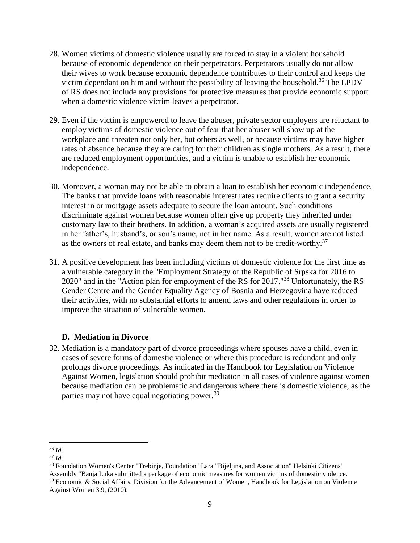- 28. Women victims of domestic violence usually are forced to stay in a violent household because of economic dependence on their perpetrators. Perpetrators usually do not allow their wives to work because economic dependence contributes to their control and keeps the victim dependant on him and without the possibility of leaving the household.<sup>36</sup> The LPDV of RS does not include any provisions for protective measures that provide economic support when a domestic violence victim leaves a perpetrator.
- 29. Even if the victim is empowered to leave the abuser, private sector employers are reluctant to employ victims of domestic violence out of fear that her abuser will show up at the workplace and threaten not only her, but others as well, or because victims may have higher rates of absence because they are caring for their children as single mothers. As a result, there are reduced employment opportunities, and a victim is unable to establish her economic independence.
- 30. Moreover, a woman may not be able to obtain a loan to establish her economic independence. The banks that provide loans with reasonable interest rates require clients to grant a security interest in or mortgage assets adequate to secure the loan amount. Such conditions discriminate against women because women often give up property they inherited under customary law to their brothers. In addition, a woman's acquired assets are usually registered in her father's, husband's, or son's name, not in her name. As a result, women are not listed as the owners of real estate, and banks may deem them not to be credit-worthy.<sup>37</sup>
- 31. A positive development has been including victims of domestic violence for the first time as a vulnerable category in the "Employment Strategy of the Republic of Srpska for 2016 to 2020" and in the "Action plan for employment of the RS for 2017."<sup>38</sup> Unfortunately, the RS Gender Centre and the Gender Equality Agency of Bosnia and Herzegovina have reduced their activities, with no substantial efforts to amend laws and other regulations in order to improve the situation of vulnerable women.

# **D. Mediation in Divorce**

32. Mediation is a mandatory part of divorce proceedings where spouses have a child, even in cases of severe forms of domestic violence or where this procedure is redundant and only prolongs divorce proceedings. As indicated in the Handbook for Legislation on Violence Against Women, legislation should prohibit mediation in all cases of violence against women because mediation can be problematic and dangerous where there is domestic violence, as the parties may not have equal negotiating power.<sup>39</sup>

 $\overline{a}$ <sup>36</sup> *Id.*

<sup>37</sup> *Id*.

<sup>38</sup> Foundation Women's Center "Trebinje, Foundation" Lara "Bijeljina, and Association" Helsinki Citizens' Assembly "Banja Luka submitted a package of economic measures for women victims of domestic violence. <sup>39</sup> Economic & Social Affairs, Division for the Advancement of Women, Handbook for Legislation on Violence Against Women 3.9, (2010).